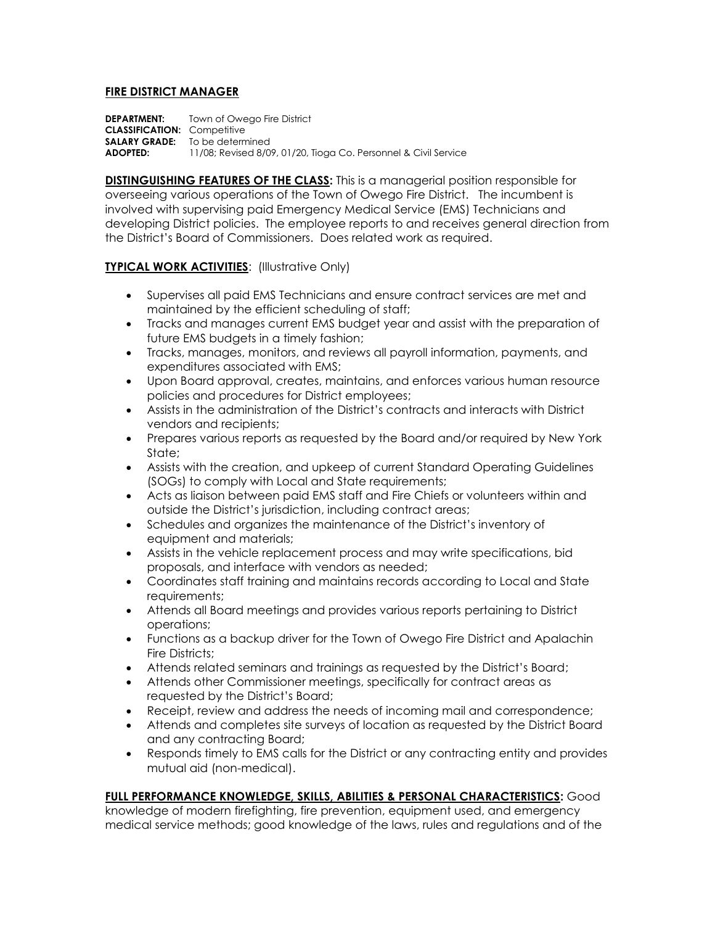## **FIRE DISTRICT MANAGER**

**DEPARTMENT:** Town of Owego Fire District **CLASSIFICATION:** Competitive **SALARY GRADE:** To be determined **ADOPTED:** 11/08; Revised 8/09, 01/20, Tioga Co. Personnel & Civil Service

**DISTINGUISHING FEATURES OF THE CLASS:** This is a managerial position responsible for overseeing various operations of the Town of Owego Fire District. The incumbent is involved with supervising paid Emergency Medical Service (EMS) Technicians and developing District policies. The employee reports to and receives general direction from the District's Board of Commissioners. Does related work as required.

## **TYPICAL WORK ACTIVITIES**: (Illustrative Only)

- Supervises all paid EMS Technicians and ensure contract services are met and maintained by the efficient scheduling of staff;
- Tracks and manages current EMS budget year and assist with the preparation of future EMS budgets in a timely fashion;
- Tracks, manages, monitors, and reviews all payroll information, payments, and expenditures associated with EMS;
- Upon Board approval, creates, maintains, and enforces various human resource policies and procedures for District employees;
- Assists in the administration of the District's contracts and interacts with District vendors and recipients;
- Prepares various reports as requested by the Board and/or required by New York State;
- Assists with the creation, and upkeep of current Standard Operating Guidelines (SOGs) to comply with Local and State requirements;
- Acts as liaison between paid EMS staff and Fire Chiefs or volunteers within and outside the District's jurisdiction, including contract areas;
- Schedules and organizes the maintenance of the District's inventory of equipment and materials;
- Assists in the vehicle replacement process and may write specifications, bid proposals, and interface with vendors as needed;
- Coordinates staff training and maintains records according to Local and State requirements;
- Attends all Board meetings and provides various reports pertaining to District operations;
- Functions as a backup driver for the Town of Owego Fire District and Apalachin Fire Districts;
- Attends related seminars and trainings as requested by the District's Board;
- Attends other Commissioner meetings, specifically for contract areas as requested by the District's Board;
- Receipt, review and address the needs of incoming mail and correspondence;
- Attends and completes site surveys of location as requested by the District Board and any contracting Board;
- Responds timely to EMS calls for the District or any contracting entity and provides mutual aid (non-medical).

## **FULL PERFORMANCE KNOWLEDGE, SKILLS, ABILITIES & PERSONAL CHARACTERISTICS:** Good

knowledge of modern firefighting, fire prevention, equipment used, and emergency medical service methods; good knowledge of the laws, rules and regulations and of the